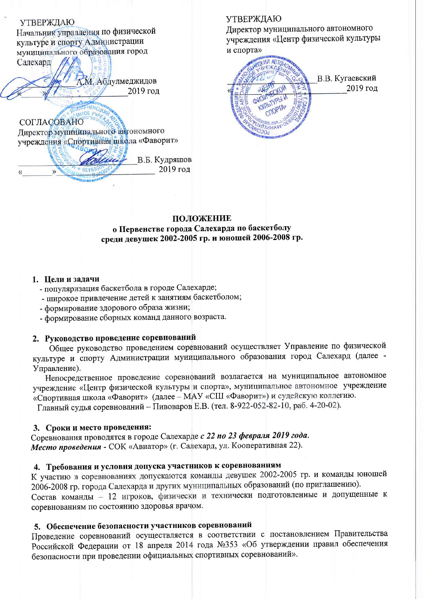**УТВЕРЖДАЮ** Начальник управления по физической культуре и спорту Администрации муниципального образования город Салехард А.М. Абдулмеджидов 2019 год HEHEURE AHOE VYPE **СОГЛАСОВАНО** Директор муниципального автономного учреждения «Спортивная школа «Фаворит» В.Б. Кудряшов 2019 год

### **УТВЕРЖДАЮ**

Директор муниципального автономного учреждения «Центр физической культуры и спорта»

**WA ABTO** В.В. Кугаевский 2019 год KYRISTYPI **STIOPTA** TUHAV Joak

#### ПОЛОЖЕНИЕ

о Первенстве города Салехарда по баскетболу среди девушек 2002-2005 гр. и юношей 2006-2008 гр.

#### 1. Пели и задачи

- популяризация баскетбола в городе Салехарде;
- широкое привлечение детей к занятиям баскетболом;
- формирование здорового образа жизни;
- формирование сборных команд данного возраста.

### 2. Руководство проведение соревнований

Общее руководство проведением соревнований осуществляет Управление по физической культуре и спорту Администрации муниципального образования город Салехард (далее -Управление).

Непосредственное проведение соревнований возлагается на муниципальное автономное учреждение «Центр физической культуры и спорта», муниципальное автономное учреждение «Спортивная школа «Фаворит» (далее - МАУ «СШ «Фаворит») и судейскую коллегию.

Главный судья соревнований - Пивоваров Е.В. (тел. 8-922-052-82-10, раб. 4-20-02).

#### 3. Сроки и место проведения:

Соревнования проводятся в городе Салехарде с 22 по 23 февраля 2019 года. Место проведения - СОК «Авиатор» (г. Салехард, ул. Кооперативная 22).

# 4. Требования и условия допуска участников к соревнованиям

К участию в соревнованиях допускаются команды девушек 2002-2005 гр. и команды юношей 2006-2008 гр. города Салехарда и других муниципальных образований (по приглашению).

Состав команды - 12 игроков, физически и технически подготовленные и допущенные к соревнованиям по состоянию здоровья врачом.

#### 5. Обеспечение безопасности участников соревнований

Проведение соревнований осуществляется в соответствии с постановлением Правительства Российской Федерации от 18 апреля 2014 года №353 «Об утверждении правил обеспечения безопасности при проведении официальных спортивных соревнований».